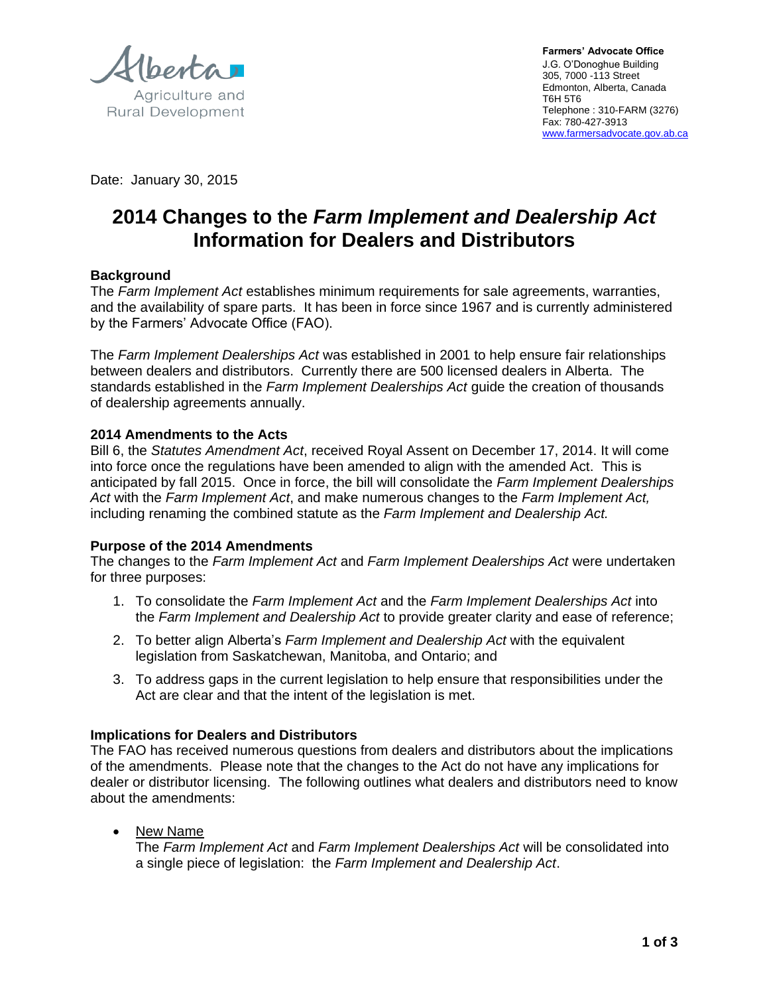Agriculture and

**Rural Development** 

**Farmers' Advocate Office**  J.G. O'Donoghue Building 305, 7000 -113 Street Edmonton, Alberta, Canada T6H 5T6 Telephone : 310-FARM (3276) Fax: 780-427-3913 www.farmersadvocate.gov.ab.ca

Date: January 30, 2015

# **2014 Changes to the** *Farm Implement and Dealership Act* **Information for Dealers and Distributors**

## **Background**

The *Farm Implement Act* establishes minimum requirements for sale agreements, warranties, and the availability of spare parts. It has been in force since 1967 and is currently administered by the Farmers' Advocate Office (FAO).

The *Farm Implement Dealerships Act* was established in 2001 to help ensure fair relationships between dealers and distributors. Currently there are 500 licensed dealers in Alberta. The standards established in the *Farm Implement Dealerships Act* guide the creation of thousands of dealership agreements annually.

#### **2014 Amendments to the Acts**

Bill 6, the *Statutes Amendment Act*, received Royal Assent on December 17, 2014. It will come into force once the regulations have been amended to align with the amended Act. This is anticipated by fall 2015. Once in force, the bill will consolidate the *Farm Implement Dealerships Act* with the *Farm Implement Act*, and make numerous changes to the *Farm Implement Act,*  including renaming the combined statute as the *Farm Implement and Dealership Act.*

#### **Purpose of the 2014 Amendments**

The changes to the *Farm Implement Act* and *Farm Implement Dealerships Act* were undertaken for three purposes:

- 1. To consolidate the *Farm Implement Act* and the *Farm Implement Dealerships Act* into the *Farm Implement and Dealership Act* to provide greater clarity and ease of reference;
- 2. To better align Alberta's *Farm Implement and Dealership Act* with the equivalent legislation from Saskatchewan, Manitoba, and Ontario; and
- 3. To address gaps in the current legislation to help ensure that responsibilities under the Act are clear and that the intent of the legislation is met.

## **Implications for Dealers and Distributors**

The FAO has received numerous questions from dealers and distributors about the implications of the amendments. Please note that the changes to the Act do not have any implications for dealer or distributor licensing. The following outlines what dealers and distributors need to know about the amendments:

• New Name

The *Farm Implement Act* and *Farm Implement Dealerships Act* will be consolidated into a single piece of legislation: the *Farm Implement and Dealership Act*.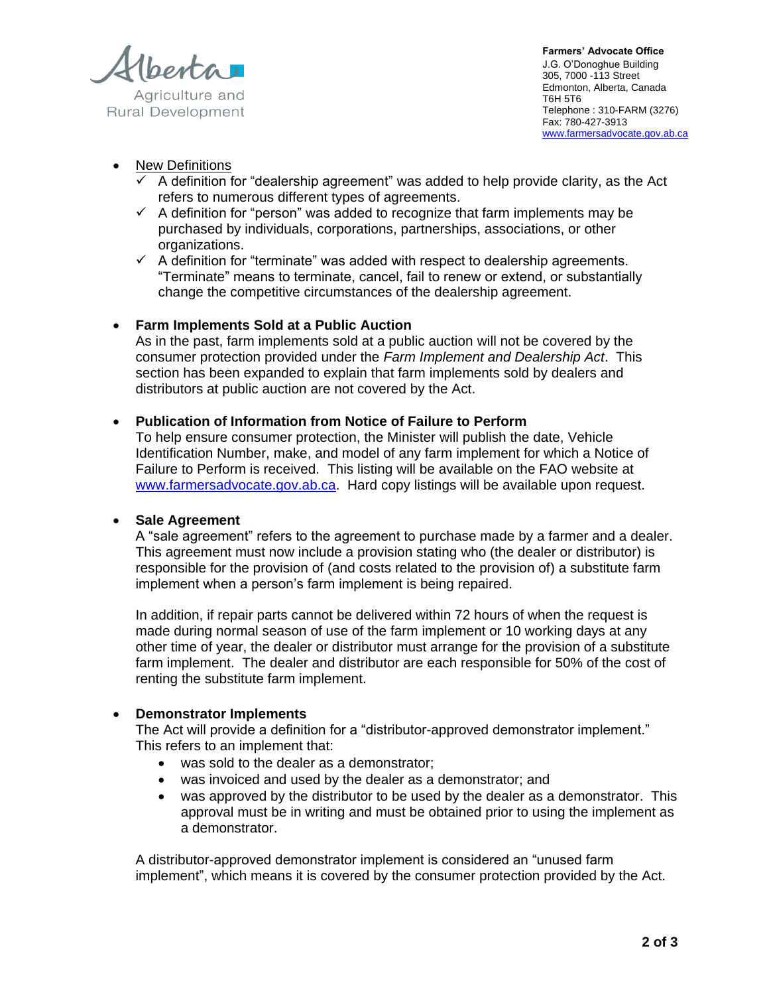Agriculture and **Rural Development** 

**Farmers' Advocate Office**  J.G. O'Donoghue Building 305, 7000 -113 Street Edmonton, Alberta, Canada T6H 5T6 Telephone : 310-FARM (3276) Fax: 780-427-3913 www.farmersadvocate.gov.ab.ca

# New Definitions

- $\checkmark$  A definition for "dealership agreement" was added to help provide clarity, as the Act refers to numerous different types of agreements.
- $\checkmark$  A definition for "person" was added to recognize that farm implements may be purchased by individuals, corporations, partnerships, associations, or other organizations.
- $\checkmark$  A definition for "terminate" was added with respect to dealership agreements. "Terminate" means to terminate, cancel, fail to renew or extend, or substantially change the competitive circumstances of the dealership agreement.

## **Farm Implements Sold at a Public Auction**

As in the past, farm implements sold at a public auction will not be covered by the consumer protection provided under the *Farm Implement and Dealership Act*. This section has been expanded to explain that farm implements sold by dealers and distributors at public auction are not covered by the Act.

## **Publication of Information from Notice of Failure to Perform**

To help ensure consumer protection, the Minister will publish the date, Vehicle Identification Number, make, and model of any farm implement for which a Notice of Failure to Perform is received. This listing will be available on the FAO website at [www.farmersadvocate.gov.ab.ca.](http://www.farmersadvocate.gov.ab.ca/) Hard copy listings will be available upon request.

#### **Sale Agreement**

A "sale agreement" refers to the agreement to purchase made by a farmer and a dealer. This agreement must now include a provision stating who (the dealer or distributor) is responsible for the provision of (and costs related to the provision of) a substitute farm implement when a person's farm implement is being repaired.

In addition, if repair parts cannot be delivered within 72 hours of when the request is made during normal season of use of the farm implement or 10 working days at any other time of year, the dealer or distributor must arrange for the provision of a substitute farm implement. The dealer and distributor are each responsible for 50% of the cost of renting the substitute farm implement.

## **Demonstrator Implements**

The Act will provide a definition for a "distributor-approved demonstrator implement." This refers to an implement that:

- was sold to the dealer as a demonstrator;
- was invoiced and used by the dealer as a demonstrator; and
- was approved by the distributor to be used by the dealer as a demonstrator. This approval must be in writing and must be obtained prior to using the implement as a demonstrator.

A distributor-approved demonstrator implement is considered an "unused farm implement", which means it is covered by the consumer protection provided by the Act.